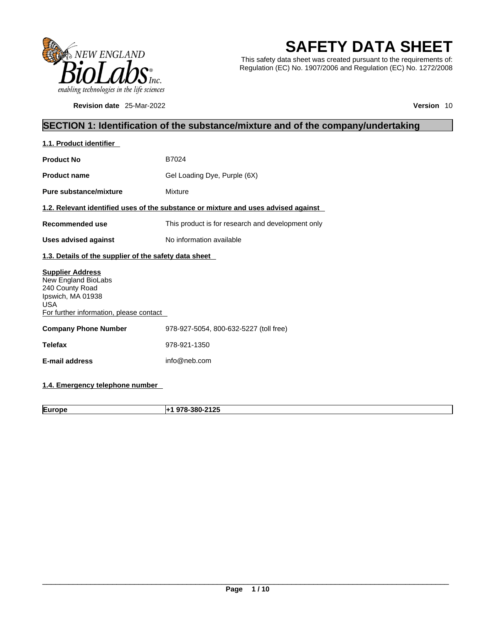

**Revision date** 25-Mar-2022 **Version** 10

# **SAFETY DATA SHEET**

This safety data sheet was created pursuant to the requirements of: Regulation (EC) No. 1907/2006 and Regulation (EC) No. 1272/2008

### **SECTION 1: Identification of the substance/mixture and of the company/undertaking**

| 1.1. Product identifier                                                                                                                         |                                                                                    |  |  |
|-------------------------------------------------------------------------------------------------------------------------------------------------|------------------------------------------------------------------------------------|--|--|
| <b>Product No</b>                                                                                                                               | B7024                                                                              |  |  |
| <b>Product name</b>                                                                                                                             | Gel Loading Dye, Purple (6X)                                                       |  |  |
| Pure substance/mixture                                                                                                                          | Mixture                                                                            |  |  |
|                                                                                                                                                 | 1.2. Relevant identified uses of the substance or mixture and uses advised against |  |  |
| Recommended use                                                                                                                                 | This product is for research and development only                                  |  |  |
| <b>Uses advised against</b>                                                                                                                     | No information available                                                           |  |  |
| 1.3. Details of the supplier of the safety data sheet                                                                                           |                                                                                    |  |  |
| <b>Supplier Address</b><br>New England BioLabs<br>240 County Road<br>Ipswich, MA 01938<br><b>USA</b><br>For further information, please contact |                                                                                    |  |  |
| <b>Company Phone Number</b>                                                                                                                     | 978-927-5054, 800-632-5227 (toll free)                                             |  |  |
| <b>Telefax</b>                                                                                                                                  | 978-921-1350                                                                       |  |  |
| <b>E-mail address</b>                                                                                                                           | info@neb.com                                                                       |  |  |
|                                                                                                                                                 |                                                                                    |  |  |

**1.4. Emergency telephone number** 

**Europe +1 978-380-2125**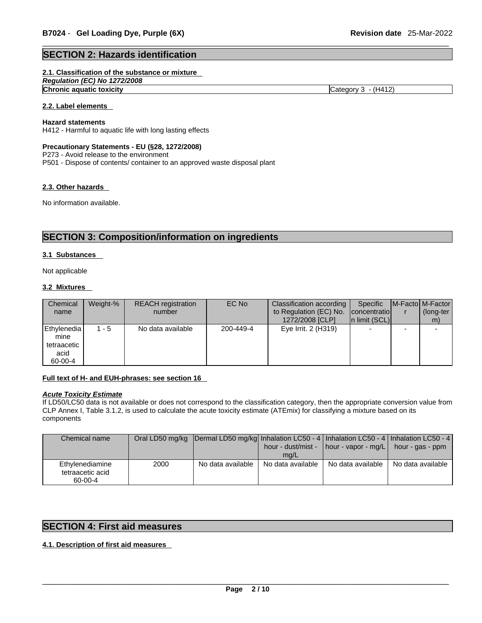#### **SECTION 2: Hazards identification**

#### **2.1. Classification of the substance or mixture**

*Regulation (EC) No 1272/2008* 

**Chronic aquatic toxicity** Chronic **aquatic toxicity** Category 3 - (H412)

#### **2.2. Label elements**

#### **Hazard statements**

H412 - Harmful to aquatic life with long lasting effects

#### **Precautionary Statements - EU (§28, 1272/2008)**

P273 - Avoid release to the environment

P501 - Dispose of contents/ container to an approved waste disposal plant

#### **2.3. Other hazards**

No information available.

### **SECTION 3: Composition/information on ingredients**

#### **3.1 Substances**

Not applicable

#### **3.2 Mixtures**

| Chemical<br>name                                      | Weight-% | <b>REACH</b> registration<br>number | EC No     | Classification according<br>to Regulation (EC) No.<br>1272/2008 [CLP] | Specific<br>concentratio<br>$\ln$ limit (SCL) | <b>IM-Factol M-Factor</b><br>(long-ter<br>m) |
|-------------------------------------------------------|----------|-------------------------------------|-----------|-----------------------------------------------------------------------|-----------------------------------------------|----------------------------------------------|
| Ethylenedia<br>mine<br>tetraacetic<br>acid<br>60-00-4 | $1 - 5$  | No data available                   | 200-449-4 | Eye Irrit. 2 (H319)                                                   |                                               |                                              |

#### **Full text of H- and EUH-phrases: see section 16**

#### *Acute Toxicity Estimate*

If LD50/LC50 data is not available or does not correspond to the classification category, then the appropriate conversion value from CLP Annex I, Table 3.1.2, is used to calculate the acute toxicity estimate (ATEmix) for classifying a mixture based on its components

| Chemical name                                  |      | Oral LD50 mg/kg   Dermal LD50 mg/kg  Inhalation LC50 - 4   Inhalation LC50 - 4   Inhalation LC50 - 4 | mq/L              | hour - dust/mist -   hour - vapor - mg/L   hour - gas - ppm |                   |
|------------------------------------------------|------|------------------------------------------------------------------------------------------------------|-------------------|-------------------------------------------------------------|-------------------|
| Ethylenediamine<br>tetraacetic acid<br>60-00-4 | 2000 | No data available                                                                                    | No data available | No data available                                           | No data available |

#### **SECTION 4: First aid measures**

#### **4.1. Description of first aid measures**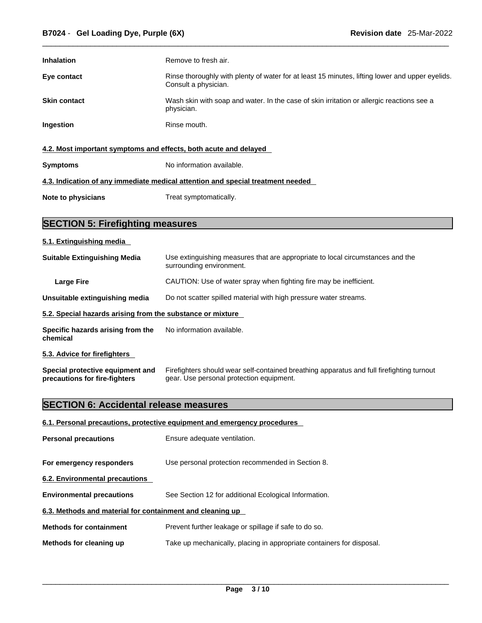| <b>Inhalation</b>                                                               | Remove to fresh air.                                                                                                    |  |  |  |
|---------------------------------------------------------------------------------|-------------------------------------------------------------------------------------------------------------------------|--|--|--|
| Eye contact                                                                     | Rinse thoroughly with plenty of water for at least 15 minutes, lifting lower and upper eyelids.<br>Consult a physician. |  |  |  |
| <b>Skin contact</b>                                                             | Wash skin with soap and water. In the case of skin irritation or allergic reactions see a<br>physician.                 |  |  |  |
| Ingestion                                                                       | Rinse mouth.                                                                                                            |  |  |  |
| 4.2. Most important symptoms and effects, both acute and delayed                |                                                                                                                         |  |  |  |
| <b>Symptoms</b>                                                                 | No information available.                                                                                               |  |  |  |
| 4.3. Indication of any immediate medical attention and special treatment needed |                                                                                                                         |  |  |  |
| Note to physicians                                                              | Treat symptomatically.                                                                                                  |  |  |  |

### **SECTION 5: Firefighting measures**

#### **5.1. Extinguishing media**

| <b>Suitable Extinguishing Media</b>                        | Use extinguishing measures that are appropriate to local circumstances and the<br>surrounding environment. |
|------------------------------------------------------------|------------------------------------------------------------------------------------------------------------|
| <b>Large Fire</b>                                          | CAUTION: Use of water spray when fighting fire may be inefficient.                                         |
| Unsuitable extinguishing media                             | Do not scatter spilled material with high pressure water streams.                                          |
| 5.2. Special hazards arising from the substance or mixture |                                                                                                            |
| Specific hazards arising from the<br>chemical              | No information available.                                                                                  |
| 5.3. Advice for firefighters                               |                                                                                                            |

**Special protective equipment and precautions for fire-fighters** Firefighters should wear self-contained breathing apparatus and full firefighting turnout gear. Use personal protection equipment.

### **SECTION 6: Accidental release measures**

#### **6.1. Personal precautions, protective equipment and emergency procedures**

| <b>Personal precautions</b>                               | Ensure adequate ventilation.                                          |  |  |
|-----------------------------------------------------------|-----------------------------------------------------------------------|--|--|
| For emergency responders                                  | Use personal protection recommended in Section 8.                     |  |  |
| 6.2. Environmental precautions                            |                                                                       |  |  |
| <b>Environmental precautions</b>                          | See Section 12 for additional Ecological Information.                 |  |  |
| 6.3. Methods and material for containment and cleaning up |                                                                       |  |  |
| <b>Methods for containment</b>                            | Prevent further leakage or spillage if safe to do so.                 |  |  |
| Methods for cleaning up                                   | Take up mechanically, placing in appropriate containers for disposal. |  |  |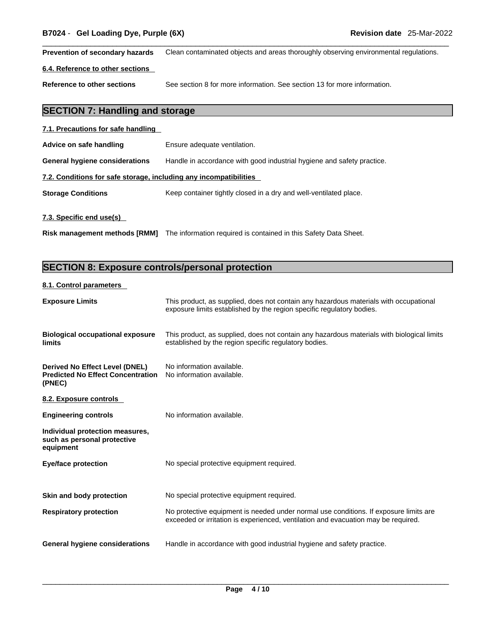**Prevention of secondary hazards** Clean contaminated objects and areas thoroughly observing environmental regulations.

#### **6.4. Reference to other sections**

**Reference to other sections** See section 8 for more information. See section 13 for more information.

### **SECTION 7: Handling and storage**

| 7.1. Precautions for safe handling                                |                                                                        |  |  |
|-------------------------------------------------------------------|------------------------------------------------------------------------|--|--|
| Advice on safe handling                                           | Ensure adequate ventilation.                                           |  |  |
| General hygiene considerations                                    | Handle in accordance with good industrial hygiene and safety practice. |  |  |
| 7.2. Conditions for safe storage, including any incompatibilities |                                                                        |  |  |
| <b>Storage Conditions</b>                                         | Keep container tightly closed in a dry and well-ventilated place.      |  |  |
| 7.3. Specific end use(s)                                          |                                                                        |  |  |

**Risk management methods [RMM]** The information required is contained in this Safety Data Sheet.

### **SECTION 8: Exposure controls/personal protection**

#### **8.1. Control parameters**

| <b>Exposure Limits</b>                                                               | This product, as supplied, does not contain any hazardous materials with occupational<br>exposure limits established by the region specific regulatory bodies.              |
|--------------------------------------------------------------------------------------|-----------------------------------------------------------------------------------------------------------------------------------------------------------------------------|
| <b>Biological occupational exposure</b><br>limits                                    | This product, as supplied, does not contain any hazardous materials with biological limits<br>established by the region specific regulatory bodies.                         |
| Derived No Effect Level (DNEL)<br><b>Predicted No Effect Concentration</b><br>(PNEC) | No information available.<br>No information available.                                                                                                                      |
| 8.2. Exposure controls                                                               |                                                                                                                                                                             |
| <b>Engineering controls</b>                                                          | No information available.                                                                                                                                                   |
| Individual protection measures,<br>such as personal protective<br>equipment          |                                                                                                                                                                             |
| <b>Eye/face protection</b>                                                           | No special protective equipment required.                                                                                                                                   |
| Skin and body protection                                                             | No special protective equipment required.                                                                                                                                   |
| <b>Respiratory protection</b>                                                        | No protective equipment is needed under normal use conditions. If exposure limits are<br>exceeded or irritation is experienced, ventilation and evacuation may be required. |
| General hygiene considerations                                                       | Handle in accordance with good industrial hygiene and safety practice.                                                                                                      |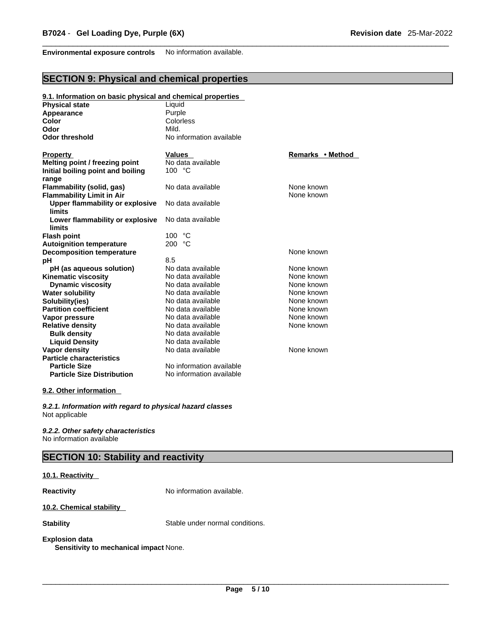**Environmental exposure controls** No information available.

### **SECTION 9: Physical and chemical properties**

#### **9.1. Information on basic physical and chemical properties**

| <b>Physical state</b>             | Liquid                   |                  |
|-----------------------------------|--------------------------|------------------|
| Appearance                        | Purple                   |                  |
| Color                             | Colorless                |                  |
| Odor                              | Mild.                    |                  |
| <b>Odor threshold</b>             | No information available |                  |
| <b>Property</b>                   | <b>Values</b>            | Remarks • Method |
| Melting point / freezing point    | No data available        |                  |
| Initial boiling point and boiling | 100 °C                   |                  |
| range                             |                          |                  |
| Flammability (solid, gas)         | No data available        | None known       |
| <b>Flammability Limit in Air</b>  |                          | None known       |
| Upper flammability or explosive   | No data available        |                  |
| limits                            |                          |                  |
| Lower flammability or explosive   | No data available        |                  |
| limits                            |                          |                  |
| <b>Flash point</b>                | 100 °C                   |                  |
| <b>Autoignition temperature</b>   | °C<br>200                |                  |
| <b>Decomposition temperature</b>  |                          | None known       |
| рH                                | 8.5                      |                  |
| pH (as aqueous solution)          | No data available        | None known       |
| <b>Kinematic viscosity</b>        | No data available        | None known       |
| <b>Dynamic viscosity</b>          | No data available        | None known       |
| <b>Water solubility</b>           | No data available        | None known       |
| Solubility(ies)                   | No data available        | None known       |
| <b>Partition coefficient</b>      | No data available        | None known       |
| Vapor pressure                    | No data available        | None known       |
| <b>Relative density</b>           | No data available        | None known       |
| <b>Bulk density</b>               | No data available        |                  |
| <b>Liquid Density</b>             | No data available        |                  |
| Vapor density                     | No data available        | None known       |
| <b>Particle characteristics</b>   |                          |                  |
| <b>Particle Size</b>              | No information available |                  |
| <b>Particle Size Distribution</b> | No information available |                  |
|                                   |                          |                  |

#### **9.2. Other information**

*9.2.1. Information with regard to physical hazard classes* Not applicable

*9.2.2. Other safety characteristics* No information available

### **SECTION 10: Stability and reactivity**

#### **10.1. Reactivity**

**Reactivity No information available.** 

#### **10.2. Chemical stability**

**Stability** Stable under normal conditions.

### **Explosion data**

**Sensitivity to mechanical impact** None.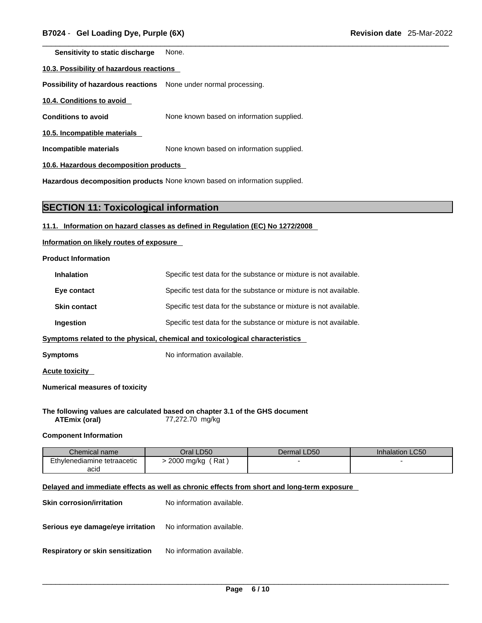**Sensitivity to static discharge** None.

#### **10.3. Possibility of hazardous reactions**

**Possibility of hazardous reactions** None under normal processing.

**10.4. Conditions to avoid** 

**Conditions to avoid** None known based on information supplied.

**10.5. Incompatible materials**

**Incompatible materials** None known based on information supplied.

**10.6. Hazardous decomposition products** 

**Hazardous decomposition products** None known based on information supplied.

#### **SECTION 11: Toxicological information**

#### **11.1. Information on hazard classes as defined in Regulation (EC) No 1272/2008**

**Information on likely routes of exposure**

#### **Product Information**

| <b>Inhalation</b>                                                            | Specific test data for the substance or mixture is not available. |  |
|------------------------------------------------------------------------------|-------------------------------------------------------------------|--|
| Eye contact                                                                  | Specific test data for the substance or mixture is not available. |  |
| <b>Skin contact</b>                                                          | Specific test data for the substance or mixture is not available. |  |
| Ingestion                                                                    | Specific test data for the substance or mixture is not available. |  |
| Symptoms related to the physical, chemical and toxicological characteristics |                                                                   |  |

**Symptoms** No information available.

**Acute toxicity** 

**Numerical measures of toxicity**

**The following values are calculated based on chapter 3.1 of the GHS document ATEmix (oral)** 77,272.70 mg/kg

#### **Component Information**

| Chemical name               | Oral LD50         | Dermal LD50 | <b>Inhalation LC50</b> |
|-----------------------------|-------------------|-------------|------------------------|
| Ethylenediamine tetraacetic | Rat<br>2000 mg/kg |             |                        |
| acid                        |                   |             |                        |

#### **Delayed and immediate effects as well as chronic effects from short and long-term exposure**

| <b>Skin corrosion/irritation</b>  | No information available. |
|-----------------------------------|---------------------------|
| Serious eye damage/eye irritation | No information available. |
| Respiratory or skin sensitization | No information available. |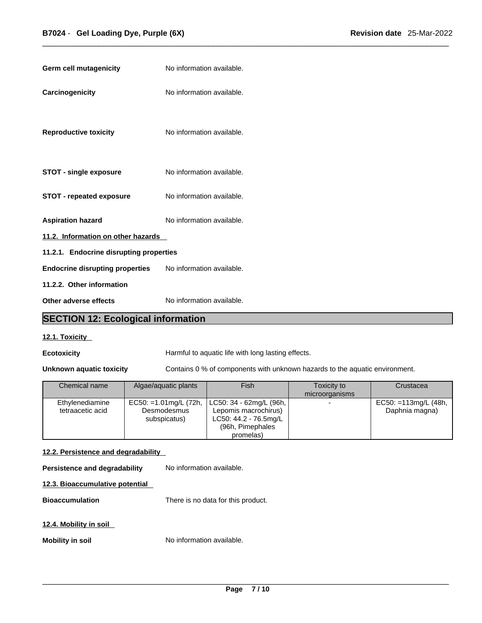| Germ cell mutagenicity                  | No information available. |
|-----------------------------------------|---------------------------|
| Carcinogenicity                         | No information available. |
| <b>Reproductive toxicity</b>            | No information available. |
| <b>STOT - single exposure</b>           | No information available. |
| <b>STOT - repeated exposure</b>         | No information available. |
| <b>Aspiration hazard</b>                | No information available. |
| 11.2. Information on other hazards      |                           |
| 11.2.1. Endocrine disrupting properties |                           |
| <b>Endocrine disrupting properties</b>  | No information available. |
| 11.2.2. Other information               |                           |
| Other adverse effects                   | No information available. |

### **SECTION 12: Ecological information**

#### **12.1. Toxicity**

**Ecotoxicity Harmful to aquatic life with long lasting effects.** 

**Unknown aquatic toxicity** Contains 0 % of components with unknown hazards to the aquatic environment.

| Chemical name                       | Algae/aquatic plants                                   | Fish                                                                                                         | Toxicity to<br>microorganisms | Crustacea                                 |
|-------------------------------------|--------------------------------------------------------|--------------------------------------------------------------------------------------------------------------|-------------------------------|-------------------------------------------|
| Ethylenediamine<br>tetraacetic acid | EC50: =1.01mg/L $(72h,$<br>Desmodesmus<br>subspicatus) | LC50: 34 - 62mg/L (96h,  <br>Lepomis macrochirus)<br>LC50: 44.2 - 76.5mg/L<br>(96h, Pimephales)<br>promelas) | $\overline{\phantom{0}}$      | EC50: $=113$ mg/L (48h,<br>Daphnia magna) |

#### **12.2. Persistence and degradability**

**Persistence and degradability** No information available.

#### **12.3. Bioaccumulative potential**

**Bioaccumulation** There is no data for this product.

#### **12.4. Mobility in soil**

**Mobility in soil** No information available.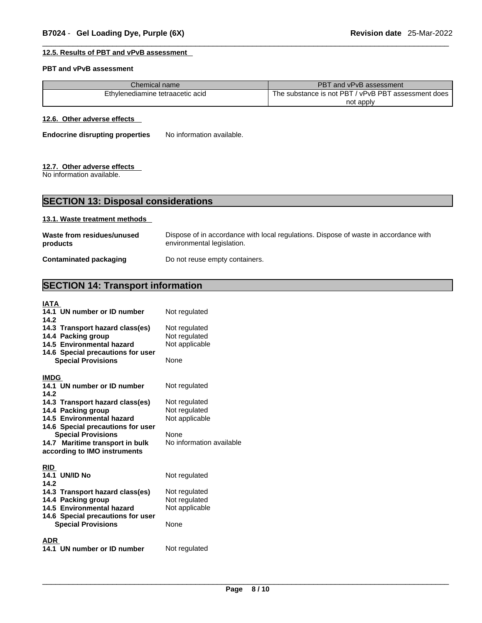#### **12.5. Results of PBT and vPvB assessment**

#### **PBT and vPvB assessment**

| Chemical name <sup>l</sup>       | PBT and vPvB assessment                             |
|----------------------------------|-----------------------------------------------------|
| Ethylenediamine tetraacetic acid | The substance is not PBT / vPvB PBT assessment does |
|                                  | not apply                                           |

#### **12.6. Other adverse effects**

**Endocrine disrupting properties** No information available.

#### **12.7. Other adverse effects**

No information available.

### **SECTION 13: Disposal considerations**

#### **13.1. Waste treatment methods**

| Waste from residues/unused    | Dispose of in accordance with local regulations. Dispose of waste in accordance with |
|-------------------------------|--------------------------------------------------------------------------------------|
| products                      | environmental legislation.                                                           |
| <b>Contaminated packaging</b> | Do not reuse empty containers.                                                       |

### **SECTION 14: Transport information**

| Not regulated<br>Not regulated<br>Not regulated<br>Not applicable<br>None                             |
|-------------------------------------------------------------------------------------------------------|
| Not regulated<br>Not regulated<br>Not regulated<br>Not applicable<br>None<br>No information available |
| Not regulated<br>Not regulated<br>Not regulated<br>Not applicable<br>None<br>Not regulated            |
|                                                                                                       |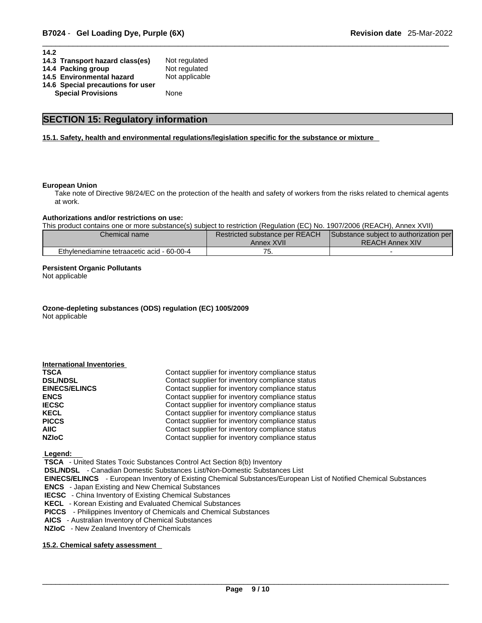| 14.2                              |                |
|-----------------------------------|----------------|
| 14.3 Transport hazard class(es)   | Not regulated  |
| 14.4 Packing group                | Not regulated  |
| 14.5 Environmental hazard         | Not applicable |
| 14.6 Special precautions for user |                |
| <b>Special Provisions</b>         | None           |
|                                   |                |

### **SECTION 15: Regulatory information**

#### **15.1. Safety, health and environmental regulations/legislation specific for the substance or mixture**

#### **European Union**

Take note of Directive 98/24/EC on the protection of the health and safety of workers from the risks related to chemical agents at work.

#### **Authorizations and/or restrictions on use:**

This product contains one or more substance(s) subject to restriction (Regulation (EC) No. 1907/2006 (REACH), Annex XVII)

| Chemical name                              | Restricted substance per REACH<br>Annex XVII | Substance subject to authorization per<br><b>REACH Annex XIV</b> |  |
|--------------------------------------------|----------------------------------------------|------------------------------------------------------------------|--|
| Ethylenediamine tetraacetic acid - 60-00-4 | ັ                                            |                                                                  |  |

#### **Persistent Organic Pollutants**

Not applicable

**Ozone-depleting substances (ODS) regulation (EC) 1005/2009** Not applicable

| Contact supplier for inventory compliance status |
|--------------------------------------------------|
| Contact supplier for inventory compliance status |
| Contact supplier for inventory compliance status |
| Contact supplier for inventory compliance status |
| Contact supplier for inventory compliance status |
| Contact supplier for inventory compliance status |
| Contact supplier for inventory compliance status |
| Contact supplier for inventory compliance status |
| Contact supplier for inventory compliance status |
|                                                  |

 **Legend:** 

 **TSCA** - United States Toxic Substances Control Act Section 8(b) Inventory

 **DSL/NDSL** - Canadian Domestic Substances List/Non-Domestic Substances List

 **EINECS/ELINCS** - European Inventory of Existing Chemical Substances/European List of Notified Chemical Substances

 **ENCS** - Japan Existing and New Chemical Substances

 **IECSC** - China Inventory of Existing Chemical Substances

 **KECL** - Korean Existing and Evaluated Chemical Substances

 **PICCS** - Philippines Inventory of Chemicals and Chemical Substances

 **AICS** - Australian Inventory of Chemical Substances

 **NZIoC** - New Zealand Inventory of Chemicals

#### **15.2. Chemical safety assessment**